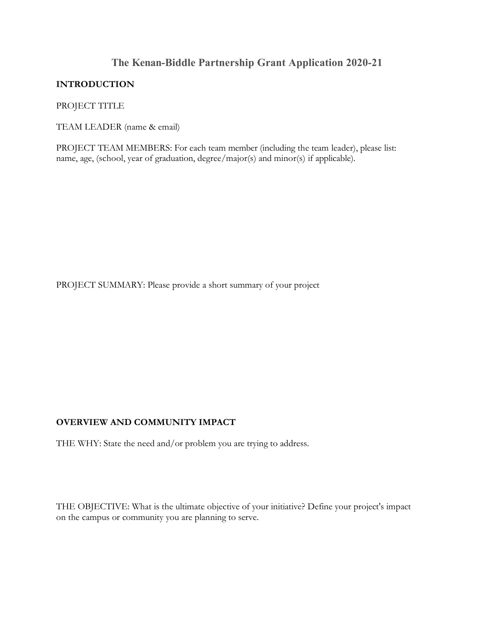# **The Kenan-Biddle Partnership Grant Application 2020-21**

#### **INTRODUCTION**

PROJECT TITLE

TEAM LEADER (name & email)

PROJECT TEAM MEMBERS: For each team member (including the team leader), please list: name, age, (school, year of graduation, degree/major(s) and minor(s) if applicable).

PROJECT SUMMARY: Please provide a short summary of your project

### **OVERVIEW AND COMMUNITY IMPACT**

THE WHY: State the need and/or problem you are trying to address.

THE OBJECTIVE: What is the ultimate objective of your initiative? Define your project's impact on the campus or community you are planning to serve.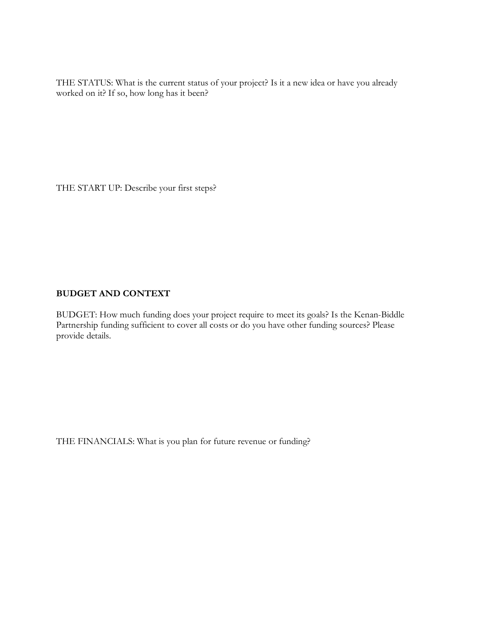THE STATUS: What is the current status of your project? Is it a new idea or have you already worked on it? If so, how long has it been?

THE START UP: Describe your first steps?

### **BUDGET AND CONTEXT**

BUDGET: How much funding does your project require to meet its goals? Is the Kenan-Biddle Partnership funding sufficient to cover all costs or do you have other funding sources? Please provide details.

THE FINANCIALS: What is you plan for future revenue or funding?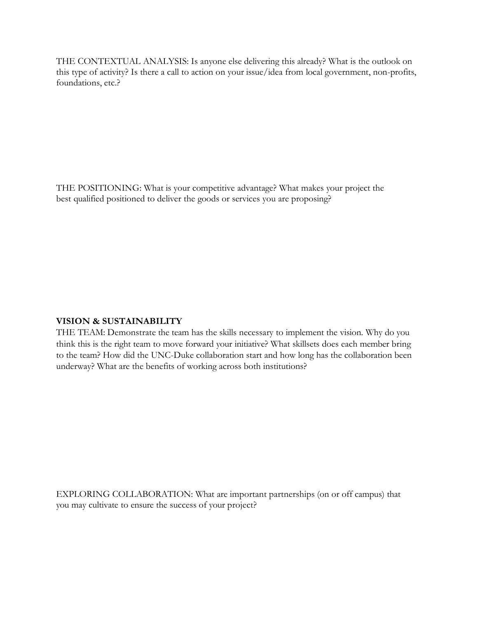THE CONTEXTUAL ANALYSIS: Is anyone else delivering this already? What is the outlook on this type of activity? Is there a call to action on your issue/idea from local government, non-profits, foundations, etc.?

THE POSITIONING: What is your competitive advantage? What makes your project the best qualified positioned to deliver the goods or services you are proposing?

## **VISION & SUSTAINABILITY**

THE TEAM: Demonstrate the team has the skills necessary to implement the vision. Why do you think this is the right team to move forward your initiative? What skillsets does each member bring to the team? How did the UNC-Duke collaboration start and how long has the collaboration been underway? What are the benefits of working across both institutions?

EXPLORING COLLABORATION: What are important partnerships (on or off campus) that you may cultivate to ensure the success of your project?